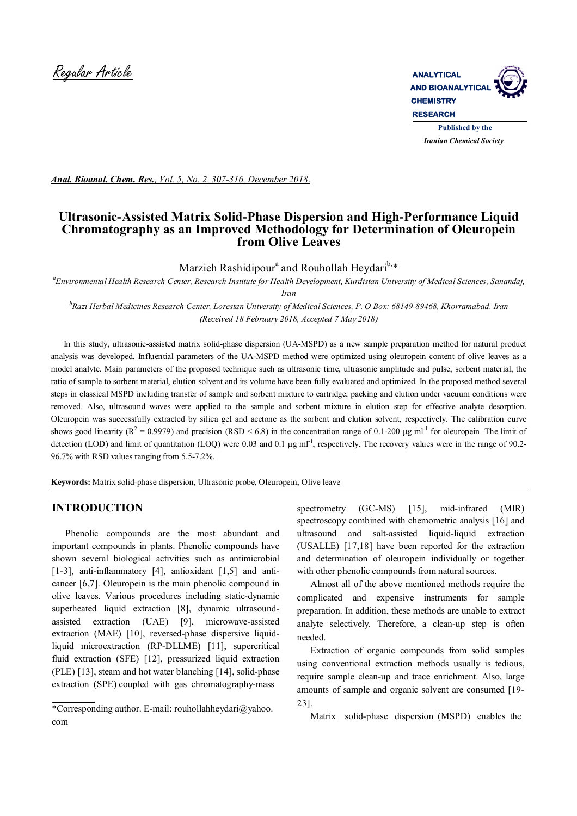

*Anal. Bioanal. Chem. Res., Vol. 5, No. 2, 307-316, December 2018.*

## **Ultrasonic-Assisted Matrix Solid-Phase Dispersion and High-Performance Liquid Chromatography as an Improved Methodology for Determination of Oleuropein from Olive Leaves**

# Marzieh Rashidipour<sup>a</sup> and Rouhollah Heydari<sup>b,\*</sup>

*a Environmental Health Research Center, Research Institute for Health Development, Kurdistan University of Medical Sciences, Sanandaj,* 

*b Razi Herbal Medicines Research Center, Lorestan University of Medical Sciences, P. O Box: 68149-89468, Khorramabad, Iran (Received 18 February 2018, Accepted 7 May 2018)*

 In this study, ultrasonic-assisted matrix solid-phase dispersion (UA-MSPD) as a new sample preparation method for natural product analysis was developed. Influential parameters of the UA-MSPD method were optimized using oleuropein content of olive leaves as a model analyte. Main parameters of the proposed technique such as ultrasonic time, ultrasonic amplitude and pulse, sorbent material, the ratio of sample to sorbent material, elution solvent and its volume have been fully evaluated and optimized. In the proposed method several steps in classical MSPD including transfer of sample and sorbent mixture to cartridge, packing and elution under vacuum conditions were removed. Also, ultrasound waves were applied to the sample and sorbent mixture in elution step for effective analyte desorption. Oleuropein was successfully extracted by silica gel and acetone as the sorbent and elution solvent, respectively. The calibration curve shows good linearity ( $R^2 = 0.9979$ ) and precision (RSD < 6.8) in the concentration range of 0.1-200 µg m<sup>11</sup> for oleuropein. The limit of detection (LOD) and limit of quantitation (LOQ) were 0.03 and 0.1  $\mu$ g ml<sup>-1</sup>, respectively. The recovery values were in the range of 90.2-96.7% with RSD values ranging from 5.5-7.2%.

**Keywords:** Matrix solid-phase dispersion, Ultrasonic probe, Oleuropein, Olive leave

### **INTRODUCTION**

 Phenolic compounds are the most abundant and important compounds in plants. Phenolic compounds have shown several biological activities such as antimicrobial [1-3], anti-inflammatory [4], antioxidant [1,5] and anticancer [6,7]. Oleuropein is the main phenolic compound in olive leaves. Various procedures including static-dynamic superheated liquid extraction [8], dynamic ultrasoundassisted extraction (UAE) [9], microwave-assisted extraction (MAE) [10], reversed-phase dispersive liquidliquid microextraction (RP-DLLME) [11], supercritical fluid extraction (SFE) [12], pressurized liquid extraction (PLE) [13], steam and hot water blanching [14], solid-phase extraction (SPE) coupled with gas chromatography-mass

spectrometry (GC-MS) [15], mid-infrared (MIR) spectroscopy combined with chemometric analysis [16] and ultrasound and salt-assisted liquid-liquid extraction (USALLE) [17,18] have been reported for the extraction and determination of oleuropein individually or together with other phenolic compounds from natural sources.

 Almost all of the above mentioned methods require the complicated and expensive instruments for sample preparation. In addition, these methods are unable to extract analyte selectively. Therefore, a clean-up step is often needed.

 Extraction of organic compounds from solid samples using conventional extraction methods usually is tedious, require sample clean-up and trace enrichment. Also, large amounts of sample and organic solvent are consumed [19- 23].

Matrix solid-phase dispersion (MSPD) enables the

*Iran*

<sup>\*</sup>Corresponding author. E-mail: rouhollahheydari@yahoo. com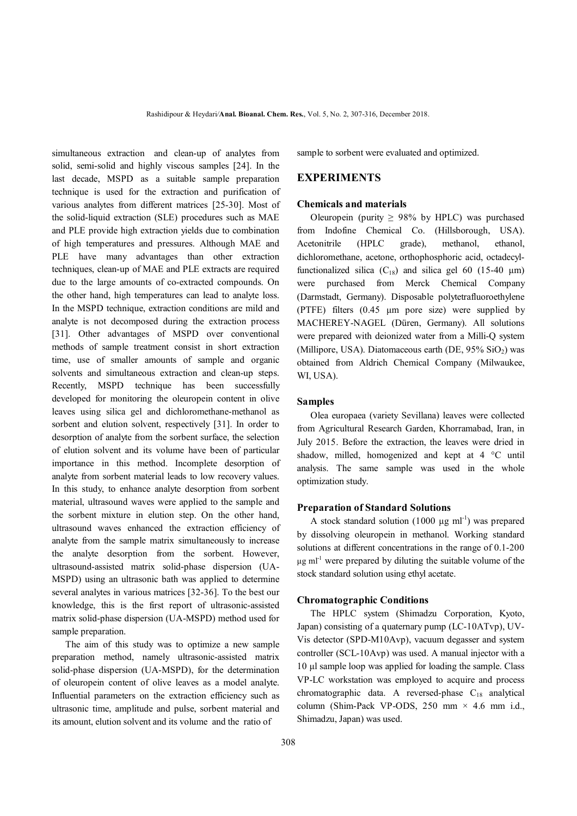simultaneous extraction and clean-up of analytes from solid, semi-solid and highly viscous samples [24]. In the last decade, MSPD as a suitable sample preparation technique is used for the extraction and purification of various analytes from different matrices [25-30]. Most of the solid-liquid extraction (SLE) procedures such as MAE and PLE provide high extraction yields due to combination of high temperatures and pressures. Although MAE and PLE have many advantages than other extraction techniques, clean-up of MAE and PLE extracts are required due to the large amounts of co-extracted compounds. On the other hand, high temperatures can lead to analyte loss. In the MSPD technique, extraction conditions are mild and analyte is not decomposed during the extraction process [31]. Other advantages of MSPD over conventional methods of sample treatment consist in short extraction time, use of smaller amounts of sample and organic solvents and simultaneous extraction and clean-up steps. Recently, MSPD technique has been successfully developed for monitoring the oleuropein content in olive leaves using silica gel and dichloromethane-methanol as sorbent and elution solvent, respectively [31]. In order to desorption of analyte from the sorbent surface, the selection of elution solvent and its volume have been of particular importance in this method. Incomplete desorption of analyte from sorbent material leads to low recovery values. In this study, to enhance analyte desorption from sorbent material, ultrasound waves were applied to the sample and the sorbent mixture in elution step. On the other hand, ultrasound waves enhanced the extraction efficiency of analyte from the sample matrix simultaneously to increase the analyte desorption from the sorbent. However, ultrasound-assisted matrix solid-phase dispersion (UA-MSPD) using an ultrasonic bath was applied to determine several analytes in various matrices [32-36]. To the best our knowledge, this is the first report of ultrasonic-assisted matrix solid-phase dispersion (UA-MSPD) method used for sample preparation.

 The aim of this study was to optimize a new sample preparation method, namely ultrasonic-assisted matrix solid-phase dispersion (UA-MSPD), for the determination of oleuropein content of olive leaves as a model analyte. Influential parameters on the extraction efficiency such as ultrasonic time, amplitude and pulse, sorbent material and its amount, elution solvent and its volume and the ratio of

sample to sorbent were evaluated and optimized.

## **EXPERIMENTS**

#### **Chemicals and materials**

Oleuropein (purity  $\geq$  98% by HPLC) was purchased from Indofine Chemical Co. (Hillsborough, USA). Acetonitrile (HPLC grade), methanol, ethanol, dichloromethane, acetone, orthophosphoric acid, octadecylfunctionalized silica  $(C_{18})$  and silica gel 60 (15-40 μm) were purchased from Merck Chemical Company (Darmstadt, Germany). Disposable polytetrafluoroethylene (PTFE) filters (0.45 μm pore size) were supplied by MACHEREY-NAGEL (Düren, Germany). All solutions were prepared with deionized water from a Milli-Q system (Millipore, USA). Diatomaceous earth (DE,  $95\%$  SiO<sub>2</sub>) was obtained from Aldrich Chemical Company (Milwaukee, WI, USA).

#### **Samples**

 Olea europaea (variety Sevillana) leaves were collected from Agricultural Research Garden, Khorramabad, Iran, in July 2015. Before the extraction, the leaves were dried in shadow, milled, homogenized and kept at 4 °C until analysis. The same sample was used in the whole optimization study.

#### **Preparation of Standard Solutions**

A stock standard solution  $(1000 \mu g \text{ ml}^{-1})$  was prepared by dissolving oleuropein in methanol. Working standard solutions at different concentrations in the range of 0.1-200  $μ$ g ml<sup>-1</sup> were prepared by diluting the suitable volume of the stock standard solution using ethyl acetate.

### **Chromatographic Conditions**

 The HPLC system (Shimadzu Corporation, Kyoto, Japan) consisting of a quaternary pump (LC-10ATvp), UV-Vis detector (SPD-M10Avp), vacuum degasser and system controller (SCL-10Avp) was used. A manual injector with a 10 μl sample loop was applied for loading the sample. Class VP-LC workstation was employed to acquire and process chromatographic data. A reversed-phase  $C_{18}$  analytical column (Shim-Pack VP-ODS, 250 mm  $\times$  4.6 mm i.d., Shimadzu, Japan) was used.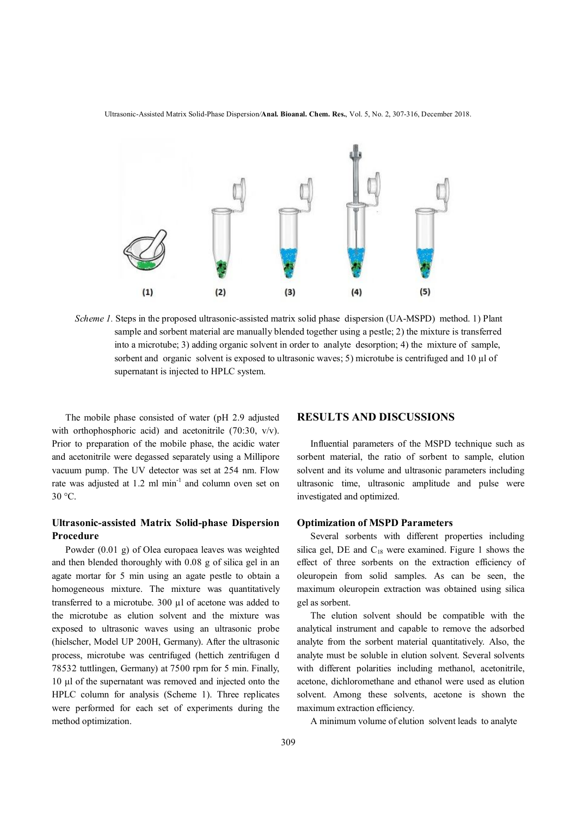Ultrasonic-Assisted Matrix Solid-Phase Dispersion*/***Anal. Bioanal. Chem. Res.**, Vol. 5, No. 2, 307-316, December 2018.



*Scheme 1.* Steps in the proposed ultrasonic-assisted matrix solid phase dispersion (UA-MSPD) method. 1) Plant sample and sorbent material are manually blended together using a pestle; 2) the mixture is transferred into a microtube; 3) adding organic solvent in order to analyte desorption; 4) the mixture of sample, sorbent and organic solvent is exposed to ultrasonic waves; 5) microtube is centrifuged and 10  $\mu$ l of supernatant is injected to HPLC system.

 The mobile phase consisted of water (pH 2.9 adjusted with orthophosphoric acid) and acetonitrile (70:30, v/v). Prior to preparation of the mobile phase, the acidic water and acetonitrile were degassed separately using a Millipore vacuum pump. The UV detector was set at 254 nm. Flow rate was adjusted at  $1.2 \text{ ml min}^{-1}$  and column oven set on 30 °C.

### **Ultrasonic-assisted Matrix Solid-phase Dispersion Procedure**

 Powder (0.01 g) of Olea europaea leaves was weighted and then blended thoroughly with 0.08 g of silica gel in an agate mortar for 5 min using an agate pestle to obtain a homogeneous mixture. The mixture was quantitatively transferred to a microtube. 300 µl of acetone was added to the microtube as elution solvent and the mixture was exposed to ultrasonic waves using an ultrasonic probe (hielscher, Model UP 200H, Germany). After the ultrasonic process, microtube was centrifuged (hettich zentrifugen d 78532 tuttlingen, Germany) at 7500 rpm for 5 min. Finally, 10 μl of the supernatant was removed and injected onto the HPLC column for analysis (Scheme 1). Three replicates were performed for each set of experiments during the method optimization.

### **RESULTS AND DISCUSSIONS**

 Influential parameters of the MSPD technique such as sorbent material, the ratio of sorbent to sample, elution solvent and its volume and ultrasonic parameters including ultrasonic time, ultrasonic amplitude and pulse were investigated and optimized.

#### **Optimization of MSPD Parameters**

 Several sorbents with different properties including silica gel, DE and  $C_{18}$  were examined. Figure 1 shows the effect of three sorbents on the extraction efficiency of oleuropein from solid samples. As can be seen, the maximum oleuropein extraction was obtained using silica gel as sorbent.

 The elution solvent should be compatible with the analytical instrument and capable to remove the adsorbed analyte from the sorbent material quantitatively. Also, the analyte must be soluble in elution solvent. Several solvents with different polarities including methanol, acetonitrile, acetone, dichloromethane and ethanol were used as elution solvent. Among these solvents, acetone is shown the maximum extraction efficiency.

A minimum volume of elution solvent leads to analyte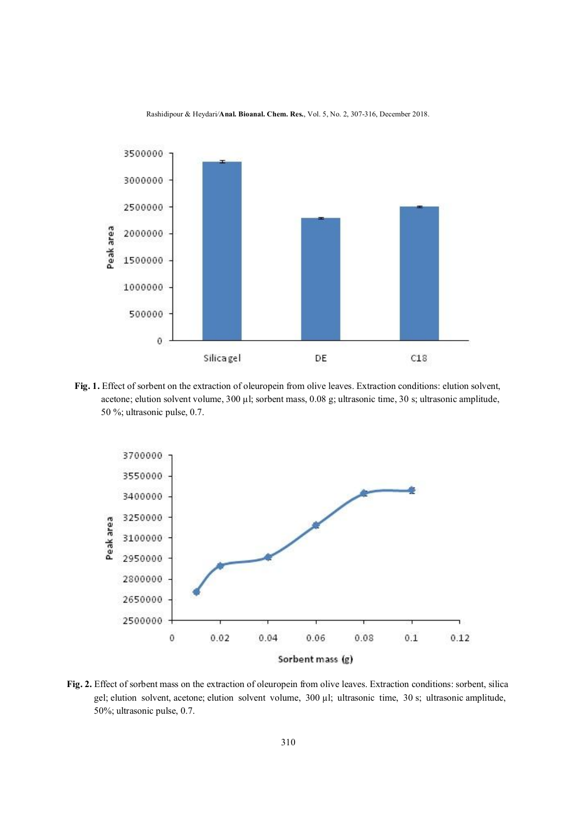

**Fig. 1.** Effect of sorbent on the extraction of oleuropein from olive leaves. Extraction conditions: elution solvent, acetone; elution solvent volume, 300 µl; sorbent mass, 0.08 g; ultrasonic time, 30 s; ultrasonic amplitude, 50 %; ultrasonic pulse, 0.7.



**Fig. 2.** Effect of sorbent mass on the extraction of oleuropein from olive leaves. Extraction conditions: sorbent, silica gel; elution solvent, acetone; elution solvent volume, 300 µl; ultrasonic time, 30 s; ultrasonic amplitude, 50%; ultrasonic pulse, 0.7.

### Rashidipour & Heydari*/***Anal. Bioanal. Chem. Res.**, Vol. 5, No. 2, 307-316, December 2018.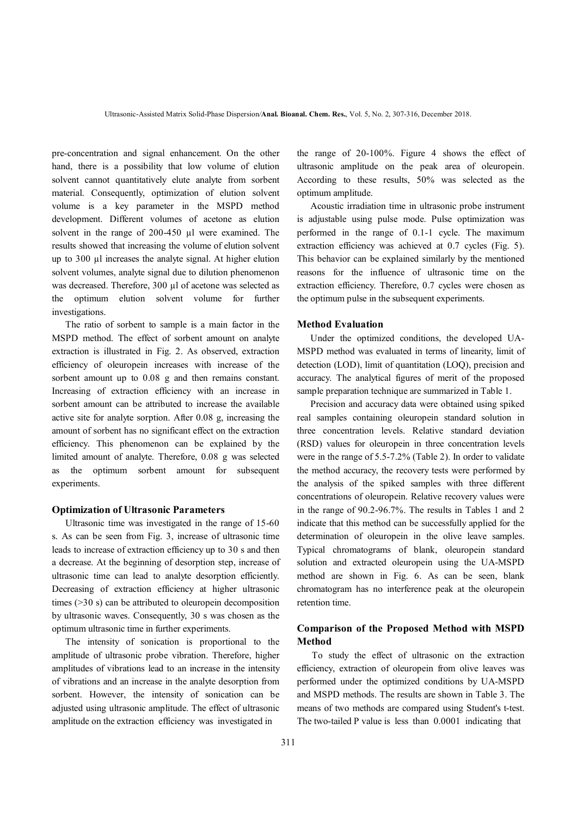pre-concentration and signal enhancement. On the other hand, there is a possibility that low volume of elution solvent cannot quantitatively elute analyte from sorbent material. Consequently, optimization of elution solvent volume is a key parameter in the MSPD method development. Different volumes of acetone as elution solvent in the range of 200-450 µl were examined. The results showed that increasing the volume of elution solvent up to 300 µl increases the analyte signal. At higher elution solvent volumes, analyte signal due to dilution phenomenon was decreased. Therefore, 300 µl of acetone was selected as the optimum elution solvent volume for further investigations.

 The ratio of sorbent to sample is a main factor in the MSPD method. The effect of sorbent amount on analyte extraction is illustrated in Fig. 2. As observed, extraction efficiency of oleuropein increases with increase of the sorbent amount up to 0.08 g and then remains constant. Increasing of extraction efficiency with an increase in sorbent amount can be attributed to increase the available active site for analyte sorption. After 0.08 g, increasing the amount of sorbent has no significant effect on the extraction efficiency. This phenomenon can be explained by the limited amount of analyte. Therefore, 0.08 g was selected as the optimum sorbent amount for subsequent experiments.

#### **Optimization of Ultrasonic Parameters**

 Ultrasonic time was investigated in the range of 15-60 s. As can be seen from Fig. 3, increase of ultrasonic time leads to increase of extraction efficiency up to 30 s and then a decrease. At the beginning of desorption step, increase of ultrasonic time can lead to analyte desorption efficiently. Decreasing of extraction efficiency at higher ultrasonic times (>30 s) can be attributed to oleuropein decomposition by ultrasonic waves. Consequently, 30 s was chosen as the optimum ultrasonic time in further experiments.

 The intensity of sonication is proportional to the amplitude of ultrasonic probe vibration. Therefore, higher amplitudes of vibrations lead to an increase in the intensity of vibrations and an increase in the analyte desorption from sorbent. However, the intensity of sonication can be adjusted using ultrasonic amplitude. The effect of ultrasonic amplitude on the extraction efficiency was investigated in

the range of 20-100%. Figure 4 shows the effect of ultrasonic amplitude on the peak area of oleuropein. According to these results, 50% was selected as the optimum amplitude.

 Acoustic irradiation time in ultrasonic probe instrument is adjustable using pulse mode. Pulse optimization was performed in the range of 0.1-1 cycle. The maximum extraction efficiency was achieved at 0.7 cycles (Fig. 5). This behavior can be explained similarly by the mentioned reasons for the influence of ultrasonic time on the extraction efficiency. Therefore, 0.7 cycles were chosen as the optimum pulse in the subsequent experiments.

### **Method Evaluation**

 Under the optimized conditions, the developed UA-MSPD method was evaluated in terms of linearity, limit of detection (LOD), limit of quantitation (LOQ), precision and accuracy. The analytical figures of merit of the proposed sample preparation technique are summarized in Table 1.

 Precision and accuracy data were obtained using spiked real samples containing oleuropein standard solution in three concentration levels. Relative standard deviation (RSD) values for oleuropein in three concentration levels were in the range of 5.5-7.2% (Table 2). In order to validate the method accuracy, the recovery tests were performed by the analysis of the spiked samples with three different concentrations of oleuropein. Relative recovery values were in the range of 90.2-96.7%. The results in Tables 1 and 2 indicate that this method can be successfully applied for the determination of oleuropein in the olive leave samples. Typical chromatograms of blank, oleuropein standard solution and extracted oleuropein using the UA-MSPD method are shown in Fig. 6. As can be seen, blank chromatogram has no interference peak at the oleuropein retention time.

### **Comparison of the Proposed Method with MSPD Method**

To study the effect of ultrasonic on the extraction efficiency, extraction of oleuropein from olive leaves was performed under the optimized conditions by UA-MSPD and MSPD methods. The results are shown in Table 3. The means of two methods are compared using Student's t-test. The two-tailed P value is less than 0.0001 indicating that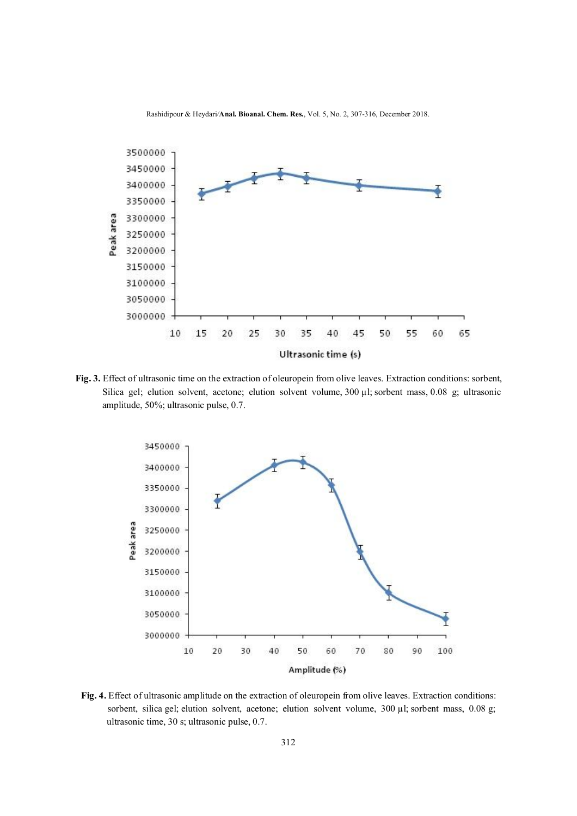

**Fig. 3.** Effect of ultrasonic time on the extraction of oleuropein from olive leaves. Extraction conditions: sorbent, Silica gel; elution solvent, acetone; elution solvent volume, 300 µl; sorbent mass, 0.08 g; ultrasonic amplitude, 50%; ultrasonic pulse, 0.7.



**Fig. 4.** Effect of ultrasonic amplitude on the extraction of oleuropein from olive leaves. Extraction conditions: sorbent, silica gel; elution solvent, acetone; elution solvent volume, 300 µl; sorbent mass, 0.08 g; ultrasonic time, 30 s; ultrasonic pulse, 0.7.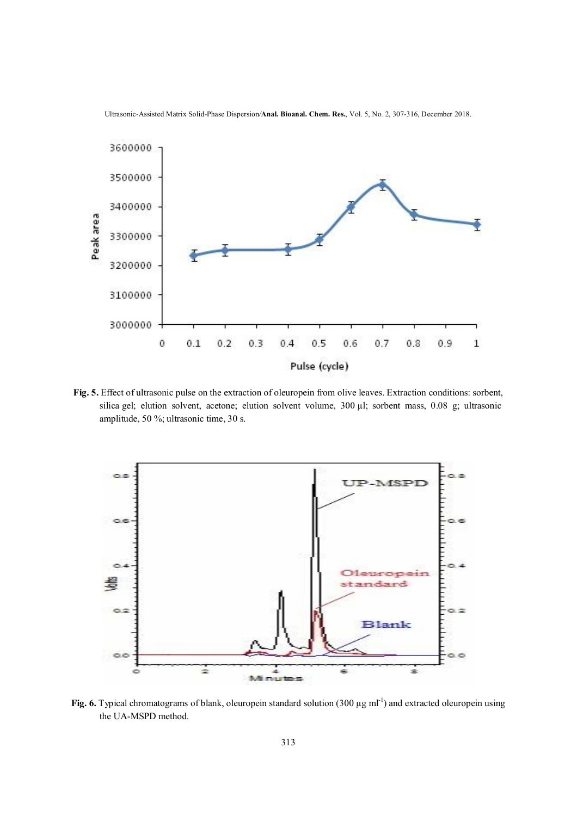

Ultrasonic-Assisted Matrix Solid-Phase Dispersion*/***Anal. Bioanal. Chem. Res.**, Vol. 5, No. 2, 307-316, December 2018.

**Fig. 5.** Effect of ultrasonic pulse on the extraction of oleuropein from olive leaves. Extraction conditions: sorbent, silica gel; elution solvent, acetone; elution solvent volume, 300 µl; sorbent mass, 0.08 g; ultrasonic amplitude, 50 %; ultrasonic time, 30 s.



Fig. 6. Typical chromatograms of blank, oleuropein standard solution  $(300 \,\mu g \text{ ml}^{-1})$  and extracted oleuropein using the UA-MSPD method.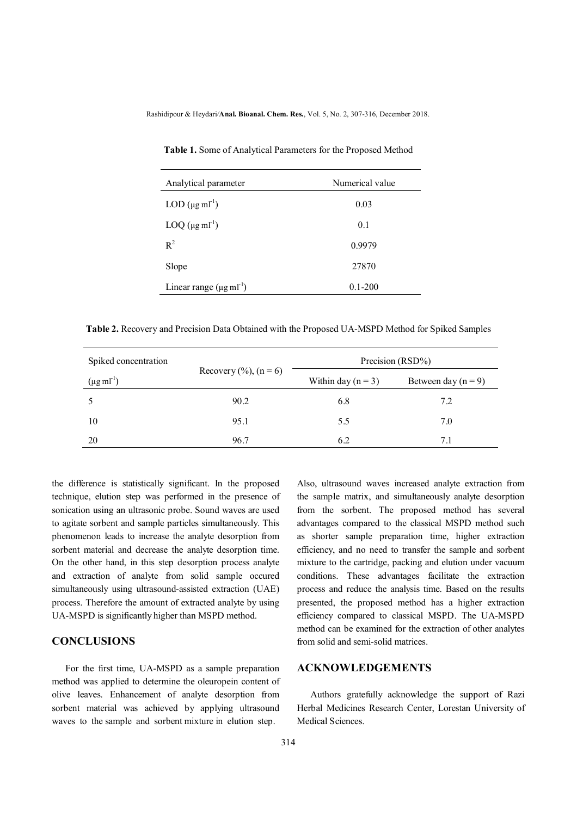Rashidipour & Heydari*/***Anal. Bioanal. Chem. Res.**, Vol. 5, No. 2, 307-316, December 2018.

| Analytical parameter                   | Numerical value |  |
|----------------------------------------|-----------------|--|
| $LOD$ ( $\mu$ g ml <sup>-1</sup> )     | 0.03            |  |
| $LOQ$ ( $\mu$ g ml <sup>-1</sup> )     | 0.1             |  |
| $R^2$                                  | 0.9979          |  |
| Slope                                  | 27870           |  |
| Linear range $(\mu g \text{ ml}^{-1})$ | $0.1 - 200$     |  |

 **Table 1.** Some of Analytical Parameters for the Proposed Method

 **Table 2.** Recovery and Precision Data Obtained with the Proposed UA-MSPD Method for Spiked Samples

| Spiked concentration      | Recovery $(\%), (n = 6)$ |                      | Precision (RSD%)        |  |
|---------------------------|--------------------------|----------------------|-------------------------|--|
| $(\mu g \text{ ml}^{-1})$ |                          | Within day $(n = 3)$ | Between day ( $n = 9$ ) |  |
|                           | 90.2                     | 6.8                  | 7.2                     |  |
| 10                        | 95.1                     | 5.5                  | 7.0                     |  |
| 20                        | 96.7                     | 6.2                  | 7.1                     |  |

the difference is statistically significant. In the proposed technique, elution step was performed in the presence of sonication using an ultrasonic probe. Sound waves are used to agitate sorbent and sample particles simultaneously. This phenomenon leads to increase the analyte desorption from sorbent material and decrease the analyte desorption time. On the other hand, in this step desorption process analyte and extraction of analyte from solid sample occured simultaneously using ultrasound-assisted extraction (UAE) process. Therefore the amount of extracted analyte by using UA-MSPD is significantly higher than MSPD method.

### **CONCLUSIONS**

 For the first time, UA-MSPD as a sample preparation method was applied to determine the oleuropein content of olive leaves. Enhancement of analyte desorption from sorbent material was achieved by applying ultrasound waves to the sample and sorbent mixture in elution step.

Also, ultrasound waves increased analyte extraction from the sample matrix, and simultaneously analyte desorption from the sorbent. The proposed method has several advantages compared to the classical MSPD method such as shorter sample preparation time, higher extraction efficiency, and no need to transfer the sample and sorbent mixture to the cartridge, packing and elution under vacuum conditions. These advantages facilitate the extraction process and reduce the analysis time. Based on the results presented, the proposed method has a higher extraction efficiency compared to classical MSPD. The UA-MSPD method can be examined for the extraction of other analytes from solid and semi-solid matrices.

## **ACKNOWLEDGEMENTS**

 Authors gratefully acknowledge the support of Razi Herbal Medicines Research Center, Lorestan University of Medical Sciences.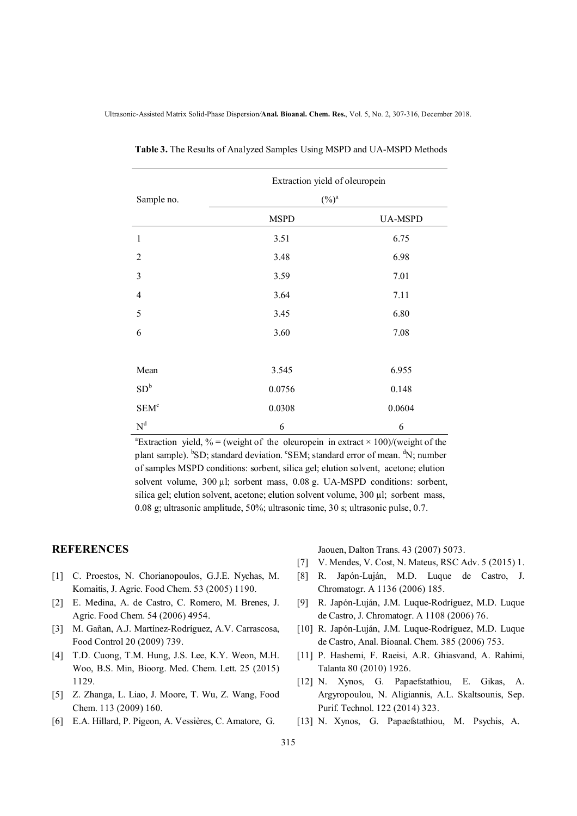|                         | Extraction yield of oleuropein |                |  |
|-------------------------|--------------------------------|----------------|--|
| Sample no.              | $(\%)^a$                       |                |  |
|                         | <b>MSPD</b>                    | <b>UA-MSPD</b> |  |
| $\mathbf{1}$            | 3.51                           | 6.75           |  |
| $\overline{2}$          | 3.48                           | 6.98           |  |
| 3                       | 3.59                           | 7.01           |  |
| $\overline{4}$          | 3.64                           | 7.11           |  |
| 5                       | 3.45                           | 6.80           |  |
| 6                       | 3.60                           | 7.08           |  |
|                         |                                |                |  |
| Mean                    | 3.545                          | 6.955          |  |
| SD <sup>b</sup>         | 0.0756                         | 0.148          |  |
| SEM <sup>c</sup>        | 0.0308                         | 0.0604         |  |
| $\mathbf{N}^{\text{d}}$ | 6                              | 6              |  |

 **Table 3.** The Results of Analyzed Samples Using MSPD and UA-MSPD Methods

a a shekara ta 1972 a ƙafa ta ƙasar Ingila.<br>'Yan wasan ƙafa ta ƙasar Ingila. <sup>a</sup>Extraction yield, % = (weight of the oleuropein in extract  $\times$  100)/(weight of the plant sample). <sup>b</sup>SD; standard deviation. <sup>c</sup>SEM; standard error of mean. <sup>d</sup>N; number of samples MSPD conditions: sorbent, silica gel; elution solvent, acetone; elution solvent volume, 300 µl; sorbent mass, 0.08 g. UA-MSPD conditions: sorbent, silica gel; elution solvent, acetone; elution solvent volume, 300 µl; sorbent mass, 0.08 g; ultrasonic amplitude, 50%; ultrasonic time, 30 s; ultrasonic pulse, 0.7.

## **REFERENCES**

- [1] C. Proestos, N. Chorianopoulos, G.J.E. Nychas, M. Komaitis, J. Agric. Food Chem. 53 (2005) 1190.
- [2] E. Medina, A. de Castro, C. Romero, M. Brenes, J. Agric. Food Chem. 54 (2006) 4954.
- [3] M. Gañan, A.J. Martínez-Rodríguez, A.V. Carrascosa, Food Control 20 (2009) 739.
- [4] T.D. Cuong, T.M. Hung, J.S. Lee, K.Y. Weon, M.H. Woo, B.S. Min, Bioorg. Med. Chem. Lett. 25 (2015) 1129.
- [5] Z. Zhanga, L. Liao, J. Moore, T. Wu, Z. Wang, Food Chem. 113 (2009) 160.
- [6] E.A. Hillard, P. Pigeon, A. Vessières, C. Amatore, G.

Jaouen, Dalton Trans. 43 (2007) 5073.

- [7] V. Mendes, V. Cost, N. Mateus, RSC Adv. 5 (2015) 1.
- [8] R. Japόn-Luján, M.D. Luque de Castro, J. Chromatogr. A 1136 (2006) 185.
- [9] R. Japόn-Luján, J.M. Luque-Rodríguez, M.D. Luque de Castro, J. Chromatogr. A 1108 (2006) 76.
- [10] R. Japón-Luján, J.M. Luque-Rodríguez, M.D. Luque de Castro, Anal. Bioanal. Chem. 385 (2006) 753.
- [11] P. Hashemi, F. Raeisi, A.R. Ghiasvand, A. Rahimi, Talanta 80 (2010) 1926.
- [12] N. Xynos, G. Papaefstathiou, E. Gikas, A. Argyropoulou, N. Aligiannis, A.L. Skaltsounis, Sep. Purif. Technol. 122 (2014) 323.
- [13] N. Xynos, G. Papaefstathiou, M. Psychis, A.